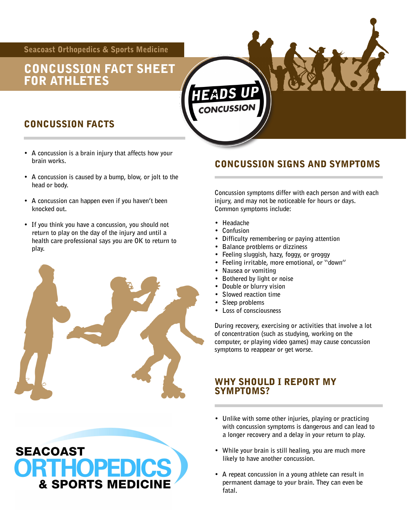Seacoast Orthopedics & Sports Medicine

## CONCUSSION FACT SHEET FOR ATHLETES

### CONCUSSION FACTS

- **A concussion is a brain injury that affects how your brain works.**
- **A concussion is caused by a bump, blow, or jolt to the head or body.**
- **A concussion can happen even if you haven't been knocked out.**
- **If you think you have a concussion, you should not return to play on the day of the injury and until a health care professional says you are OK to return to play.**



HOPEDIC:

**& SPORTS MEDICIN** 

**SEACOAST** 



- **Bothered by light or noise**
- **Double or blurry vision**
- **Slowed reaction time**
- **Sleep problems**
- **Loss of consciousness**

**During recovery, exercising or activities that involve a lot of concentration (such as studying, working on the computer, or playing video games) may cause concussion symptoms to reappear or get worse.** 

#### WHY SHOULD I REPORT MY SYMPTOMS?

- **Unlike with some other injuries, playing or practicing with concussion symptoms is dangerous and can lead to a longer recovery and a delay in your return to play.**
- **While your brain is still healing, you are much more likely to have another concussion.**
- **A repeat concussion in a young athlete can result in permanent damage to your brain. They can even be fatal.**

CONCUSSION SIGNS AND SYMPTOMS

**Concussion symptoms differ with each person and with each injury, and may not be noticeable for hours or days. Common symptoms include:** 

- **Headache**
- **Confusion**
- **Difficulty remembering or paying attention**
- **Balance protblems or dizziness**
- **Feeling sluggish, hazy, foggy, or groggy**
- **Feeling irritable, more emotional, or "down"**
- **Nausea or vomiting**
- 
- 
- 
- 
-